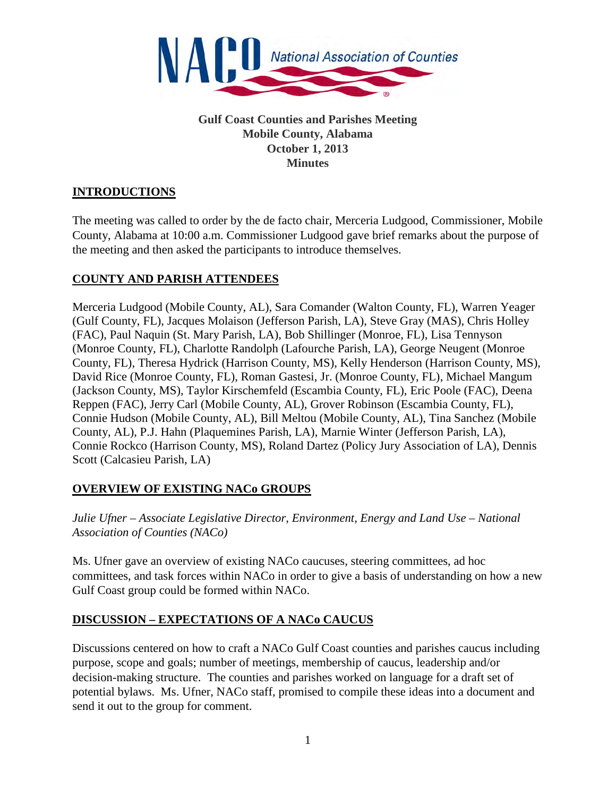

**Gulf Coast Counties and Parishes Meeting Mobile County, Alabama October 1, 2013 Minutes**

## **INTRODUCTIONS**

The meeting was called to order by the de facto chair, Merceria Ludgood, Commissioner, Mobile County, Alabama at 10:00 a.m. Commissioner Ludgood gave brief remarks about the purpose of the meeting and then asked the participants to introduce themselves.

### **COUNTY AND PARISH ATTENDEES**

Merceria Ludgood (Mobile County, AL), Sara Comander (Walton County, FL), Warren Yeager (Gulf County, FL), Jacques Molaison (Jefferson Parish, LA), Steve Gray (MAS), Chris Holley (FAC), Paul Naquin (St. Mary Parish, LA), Bob Shillinger (Monroe, FL), Lisa Tennyson (Monroe County, FL), Charlotte Randolph (Lafourche Parish, LA), George Neugent (Monroe County, FL), Theresa Hydrick (Harrison County, MS), Kelly Henderson (Harrison County, MS), David Rice (Monroe County, FL), Roman Gastesi, Jr. (Monroe County, FL), Michael Mangum (Jackson County, MS), Taylor Kirschemfeld (Escambia County, FL), Eric Poole (FAC), Deena Reppen (FAC), Jerry Carl (Mobile County, AL), Grover Robinson (Escambia County, FL), Connie Hudson (Mobile County, AL), Bill Meltou (Mobile County, AL), Tina Sanchez (Mobile County, AL), P.J. Hahn (Plaquemines Parish, LA), Marnie Winter (Jefferson Parish, LA), Connie Rockco (Harrison County, MS), Roland Dartez (Policy Jury Association of LA), Dennis Scott (Calcasieu Parish, LA)

#### **OVERVIEW OF EXISTING NACo GROUPS**

*Julie Ufner – Associate Legislative Director, Environment, Energy and Land Use – National Association of Counties (NACo)*

Ms. Ufner gave an overview of existing NACo caucuses, steering committees, ad hoc committees, and task forces within NACo in order to give a basis of understanding on how a new Gulf Coast group could be formed within NACo.

## **DISCUSSION – EXPECTATIONS OF A NACo CAUCUS**

Discussions centered on how to craft a NACo Gulf Coast counties and parishes caucus including purpose, scope and goals; number of meetings, membership of caucus, leadership and/or decision-making structure. The counties and parishes worked on language for a draft set of potential bylaws. Ms. Ufner, NACo staff, promised to compile these ideas into a document and send it out to the group for comment.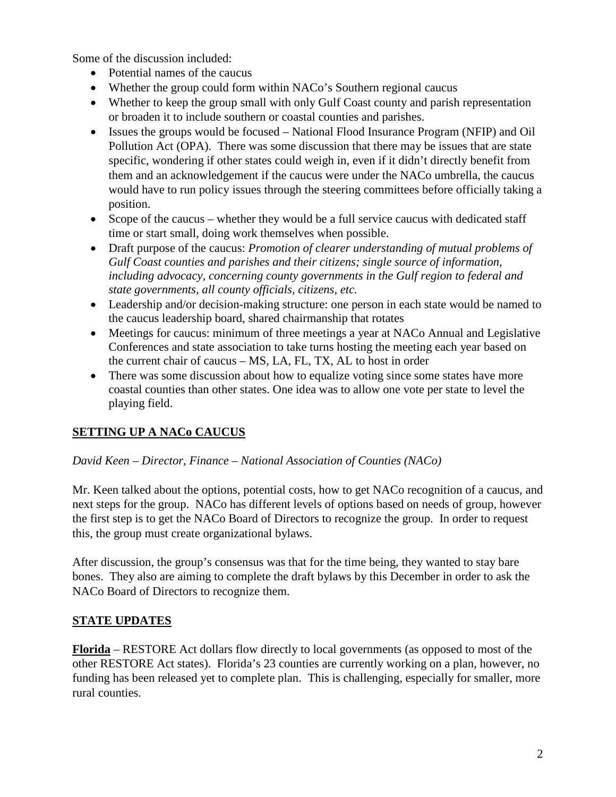Some of the discussion included:

- Potential names of the caucus
- Whether the group could form within NACo's Southern regional caucus
- Whether to keep the group small with only Gulf Coast county and parish representation or broaden it to include southern or coastal counties and parishes.
- Issues the groups would be focused National Flood Insurance Program (NFIP) and Oil Pollution Act (OPA). There was some discussion that there may be issues that are state specific, wondering if other states could weigh in, even if it didn't directly benefit from them and an acknowledgement if the caucus were under the NACo umbrella, the caucus would have to run policy issues through the steering committees before officially taking a position.
- Scope of the caucus whether they would be a full service caucus with dedicated staff time or start small, doing work themselves when possible.
- Draft purpose of the caucus: *Promotion of clearer understanding of mutual problems of Gulf Coast counties and parishes and their citizens; single source of information, including advocacy, concerning county governments in the Gulf region to federal and state governments, all county officials, citizens, etc.*
- Leadership and/or decision-making structure: one person in each state would be named to the caucus leadership board, shared chairmanship that rotates
- Meetings for caucus: minimum of three meetings a year at NACo Annual and Legislative Conferences and state association to take turns hosting the meeting each year based on the current chair of caucus – MS, LA, FL, TX, AL to host in order
- There was some discussion about how to equalize voting since some states have more coastal counties than other states. One idea was to allow one vote per state to level the playing field.

# **SETTING UP A NACo CAUCUS**

#### *David Keen – Director, Finance – National Association of Counties (NACo)*

Mr. Keen talked about the options, potential costs, how to get NACo recognition of a caucus, and next steps for the group. NACo has different levels of options based on needs of group, however the first step is to get the NACo Board of Directors to recognize the group. In order to request this, the group must create organizational bylaws.

After discussion, the group's consensus was that for the time being, they wanted to stay bare bones. They also are aiming to complete the draft bylaws by this December in order to ask the NACo Board of Directors to recognize them.

## **STATE UPDATES**

**Florida** – RESTORE Act dollars flow directly to local governments (as opposed to most of the other RESTORE Act states). Florida's 23 counties are currently working on a plan, however, no funding has been released yet to complete plan. This is challenging, especially for smaller, more rural counties.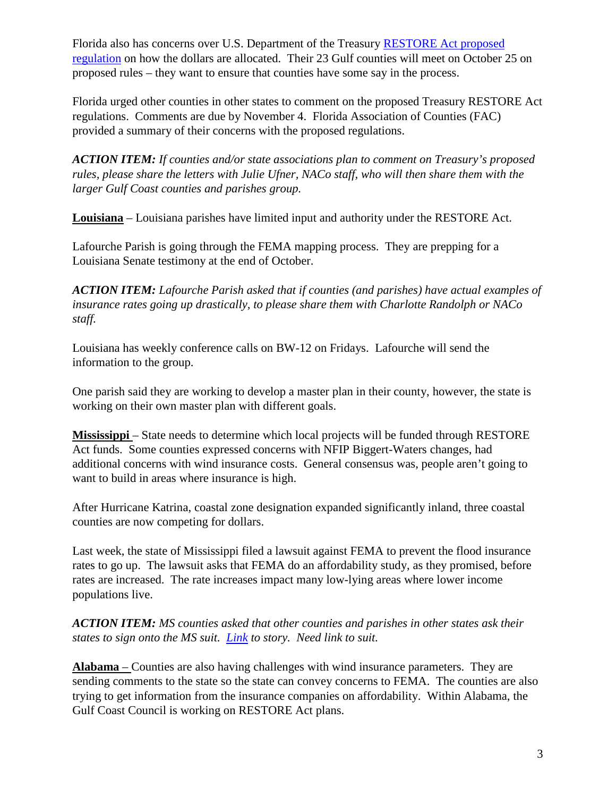Florida also has concerns over U.S. Department of the Treasury [RESTORE Act proposed](http://www.treasury.gov/connect/blog/Pages/Treasury-Issues-Proposed-RESTORE-Act-Regulation,-Opens-60-Day-Comment-Period.aspx)  [regulation](http://www.treasury.gov/connect/blog/Pages/Treasury-Issues-Proposed-RESTORE-Act-Regulation,-Opens-60-Day-Comment-Period.aspx) on how the dollars are allocated. Their 23 Gulf counties will meet on October 25 on proposed rules – they want to ensure that counties have some say in the process.

Florida urged other counties in other states to comment on the proposed Treasury RESTORE Act regulations. Comments are due by November 4. Florida Association of Counties (FAC) provided a summary of their concerns with the proposed regulations.

*ACTION ITEM: If counties and/or state associations plan to comment on Treasury's proposed rules, please share the letters with Julie Ufner, NACo staff, who will then share them with the larger Gulf Coast counties and parishes group.* 

**Louisiana** – Louisiana parishes have limited input and authority under the RESTORE Act.

Lafourche Parish is going through the FEMA mapping process. They are prepping for a Louisiana Senate testimony at the end of October.

*ACTION ITEM: Lafourche Parish asked that if counties (and parishes) have actual examples of insurance rates going up drastically, to please share them with Charlotte Randolph or NACo staff.*

Louisiana has weekly conference calls on BW-12 on Fridays. Lafourche will send the information to the group.

One parish said they are working to develop a master plan in their county, however, the state is working on their own master plan with different goals.

**Mississippi** – State needs to determine which local projects will be funded through RESTORE Act funds. Some counties expressed concerns with NFIP Biggert-Waters changes, had additional concerns with wind insurance costs. General consensus was, people aren't going to want to build in areas where insurance is high.

After Hurricane Katrina, coastal zone designation expanded significantly inland, three coastal counties are now competing for dollars.

Last week, the state of Mississippi filed a lawsuit against FEMA to prevent the flood insurance rates to go up. The lawsuit asks that FEMA do an affordability study, as they promised, before rates are increased. The rate increases impact many low-lying areas where lower income populations live.

*ACTION ITEM: MS counties asked that other counties and parishes in other states ask their states to sign onto the MS suit. [Link](http://www.miamiherald.com/2013/09/26/3655032/miss-sues-to-try-to-block-flood.html) to story. Need link to suit.* 

**Alabama** – Counties are also having challenges with wind insurance parameters. They are sending comments to the state so the state can convey concerns to FEMA. The counties are also trying to get information from the insurance companies on affordability. Within Alabama, the Gulf Coast Council is working on RESTORE Act plans.